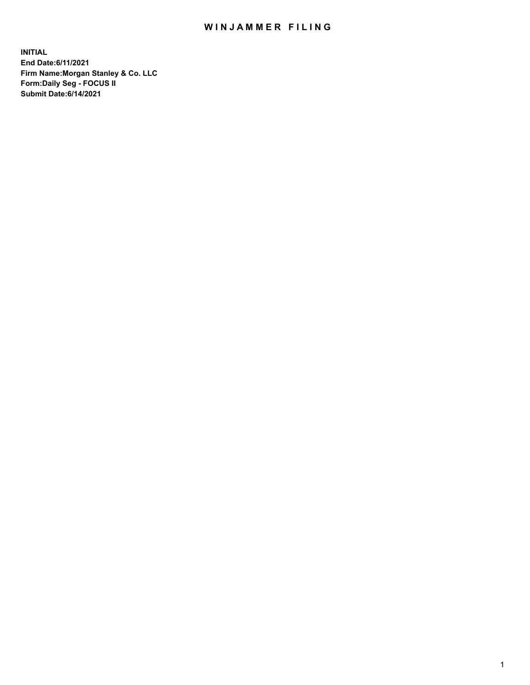## WIN JAMMER FILING

**INITIAL End Date:6/11/2021 Firm Name:Morgan Stanley & Co. LLC Form:Daily Seg - FOCUS II Submit Date:6/14/2021**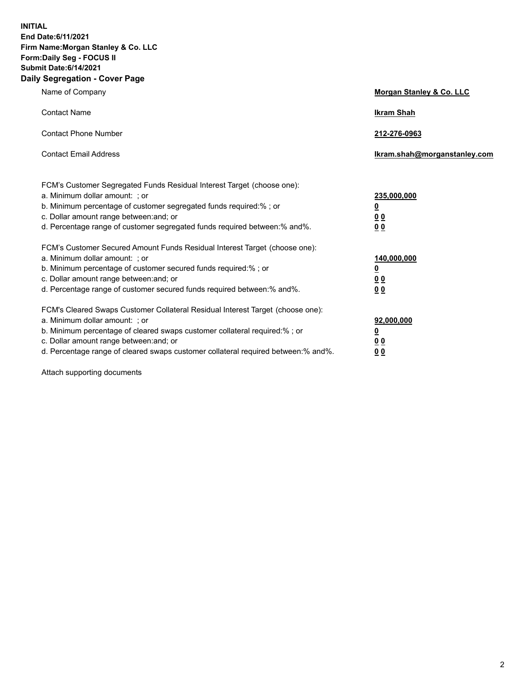**INITIAL End Date:6/11/2021 Firm Name:Morgan Stanley & Co. LLC Form:Daily Seg - FOCUS II Submit Date:6/14/2021 Daily Segregation - Cover Page**

| Name of Company                                                                                                                                                                                                                                                                                                               | Morgan Stanley & Co. LLC                               |
|-------------------------------------------------------------------------------------------------------------------------------------------------------------------------------------------------------------------------------------------------------------------------------------------------------------------------------|--------------------------------------------------------|
| <b>Contact Name</b>                                                                                                                                                                                                                                                                                                           | <b>Ikram Shah</b>                                      |
| <b>Contact Phone Number</b>                                                                                                                                                                                                                                                                                                   | 212-276-0963                                           |
| <b>Contact Email Address</b>                                                                                                                                                                                                                                                                                                  | Ikram.shah@morganstanley.com                           |
| FCM's Customer Segregated Funds Residual Interest Target (choose one):<br>a. Minimum dollar amount: ; or<br>b. Minimum percentage of customer segregated funds required:% ; or<br>c. Dollar amount range between: and; or<br>d. Percentage range of customer segregated funds required between:% and%.                        | 235,000,000<br><u>0</u><br><u>00</u><br>0 <sup>0</sup> |
| FCM's Customer Secured Amount Funds Residual Interest Target (choose one):<br>a. Minimum dollar amount: ; or<br>b. Minimum percentage of customer secured funds required:%; or<br>c. Dollar amount range between: and; or<br>d. Percentage range of customer secured funds required between:% and%.                           | 140,000,000<br><u>0</u><br><u>00</u><br>0 <sub>0</sub> |
| FCM's Cleared Swaps Customer Collateral Residual Interest Target (choose one):<br>a. Minimum dollar amount: ; or<br>b. Minimum percentage of cleared swaps customer collateral required:%; or<br>c. Dollar amount range between: and; or<br>d. Percentage range of cleared swaps customer collateral required between:% and%. | 92,000,000<br><u>0</u><br>0 Q<br>00                    |

Attach supporting documents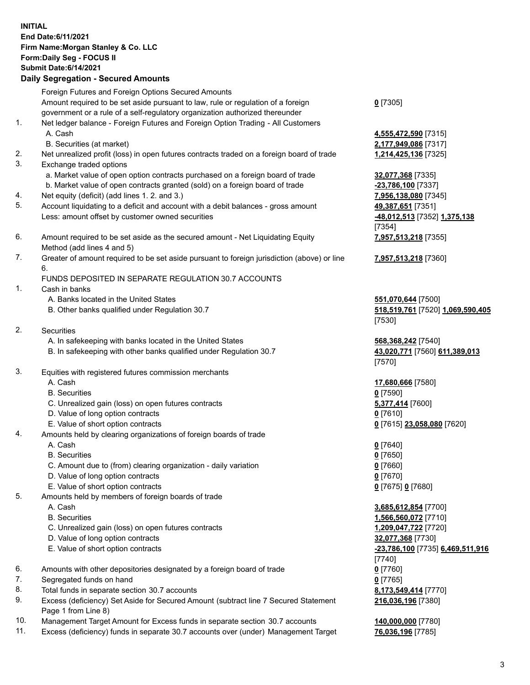## **INITIAL End Date:6/11/2021 Firm Name:Morgan Stanley & Co. LLC Form:Daily Seg - FOCUS II Submit Date:6/14/2021**

**Daily Segregation - Secured Amounts** Foreign Futures and Foreign Options Secured Amounts Amount required to be set aside pursuant to law, rule or regulation of a foreign government or a rule of a self-regulatory organization authorized thereunder 1. Net ledger balance - Foreign Futures and Foreign Option Trading - All Customers A. Cash **4,555,472,590** [7315] B. Securities (at market) **2,177,949,086** [7317] 2. Net unrealized profit (loss) in open futures contracts traded on a foreign board of trade **1,214,425,136** [7325] 3. Exchange traded options a. Market value of open option contracts purchased on a foreign board of trade **32,077,368** [7335] b. Market value of open contracts granted (sold) on a foreign board of trade **-23,786,100** [7337] 4. Net equity (deficit) (add lines 1. 2. and 3.) **7,956,138,080** [7345] 5. Account liquidating to a deficit and account with a debit balances - gross amount **49,387,651** [7351] Less: amount offset by customer owned securities **-48,012,513** [7352] **1,375,138** 6. Amount required to be set aside as the secured amount - Net Liquidating Equity Method (add lines 4 and 5) 7. Greater of amount required to be set aside pursuant to foreign jurisdiction (above) or line 6. FUNDS DEPOSITED IN SEPARATE REGULATION 30.7 ACCOUNTS 1. Cash in banks A. Banks located in the United States **551,070,644** [7500] B. Other banks qualified under Regulation 30.7 **518,519,761** [7520] **1,069,590,405** 2. Securities A. In safekeeping with banks located in the United States **568,368,242** [7540] B. In safekeeping with other banks qualified under Regulation 30.7 **43,020,771** [7560] **611,389,013** 3. Equities with registered futures commission merchants A. Cash **17,680,666** [7580] B. Securities **0** [7590] C. Unrealized gain (loss) on open futures contracts **5,377,414** [7600] D. Value of long option contracts **0** [7610] E. Value of short option contracts **0** [7615] **23,058,080** [7620] 4. Amounts held by clearing organizations of foreign boards of trade A. Cash **0** [7640] B. Securities **0** [7650] C. Amount due to (from) clearing organization - daily variation **0** [7660] D. Value of long option contracts **0** [7670] E. Value of short option contracts **0** [7675] **0** [7680] 5. Amounts held by members of foreign boards of trade A. Cash **3,685,612,854** [7700] B. Securities **1,566,560,072** [7710] C. Unrealized gain (loss) on open futures contracts **1,209,047,722** [7720]

- D. Value of long option contracts **32,077,368** [7730]
- 
- 6. Amounts with other depositories designated by a foreign board of trade **0** [7760]
- 7. Segregated funds on hand **0** [7765]
- 8. Total funds in separate section 30.7 accounts **8,173,549,414** [7770]
- 9. Excess (deficiency) Set Aside for Secured Amount (subtract line 7 Secured Statement Page 1 from Line 8)
- 10. Management Target Amount for Excess funds in separate section 30.7 accounts **140,000,000** [7780]
- 11. Excess (deficiency) funds in separate 30.7 accounts over (under) Management Target **76,036,196** [7785]

**0** [7305]

[7354] **7,957,513,218** [7355]

**7,957,513,218** [7360]

[7530]

[7570]

 E. Value of short option contracts **-23,786,100** [7735] **6,469,511,916** [7740] **216,036,196** [7380]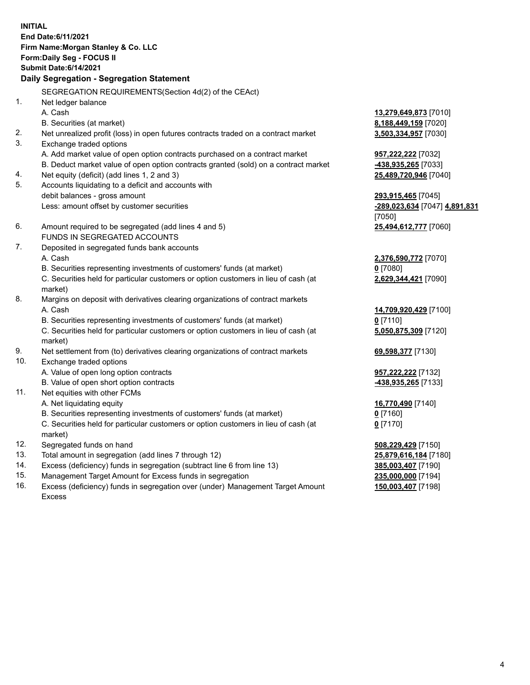**INITIAL End Date:6/11/2021 Firm Name:Morgan Stanley & Co. LLC Form:Daily Seg - FOCUS II Submit Date:6/14/2021 Daily Segregation - Segregation Statement** SEGREGATION REQUIREMENTS(Section 4d(2) of the CEAct) 1. Net ledger balance A. Cash **13,279,649,873** [7010] B. Securities (at market) **8,188,449,159** [7020] 2. Net unrealized profit (loss) in open futures contracts traded on a contract market **3,503,334,957** [7030] 3. Exchange traded options A. Add market value of open option contracts purchased on a contract market **957,222,222** [7032] B. Deduct market value of open option contracts granted (sold) on a contract market **-438,935,265** [7033] 4. Net equity (deficit) (add lines 1, 2 and 3) **25,489,720,946** [7040] 5. Accounts liquidating to a deficit and accounts with debit balances - gross amount **293,915,465** [7045] Less: amount offset by customer securities **-289,023,634** [7047] **4,891,831** [7050] 6. Amount required to be segregated (add lines 4 and 5) **25,494,612,777** [7060] FUNDS IN SEGREGATED ACCOUNTS 7. Deposited in segregated funds bank accounts A. Cash **2,376,590,772** [7070] B. Securities representing investments of customers' funds (at market) **0** [7080] C. Securities held for particular customers or option customers in lieu of cash (at market) **2,629,344,421** [7090] 8. Margins on deposit with derivatives clearing organizations of contract markets A. Cash **14,709,920,429** [7100] B. Securities representing investments of customers' funds (at market) **0** [7110] C. Securities held for particular customers or option customers in lieu of cash (at market) **5,050,875,309** [7120] 9. Net settlement from (to) derivatives clearing organizations of contract markets **69,598,377** [7130] 10. Exchange traded options A. Value of open long option contracts **957,222,222** [7132] B. Value of open short option contracts **-438,935,265** [7133] 11. Net equities with other FCMs A. Net liquidating equity **16,770,490** [7140] B. Securities representing investments of customers' funds (at market) **0** [7160] C. Securities held for particular customers or option customers in lieu of cash (at market) **0** [7170] 12. Segregated funds on hand **508,229,429** [7150] 13. Total amount in segregation (add lines 7 through 12) **25,879,616,184** [7180] 14. Excess (deficiency) funds in segregation (subtract line 6 from line 13) **385,003,407** [7190] 15. Management Target Amount for Excess funds in segregation **235,000,000** [7194]

16. Excess (deficiency) funds in segregation over (under) Management Target Amount Excess

**150,003,407** [7198]